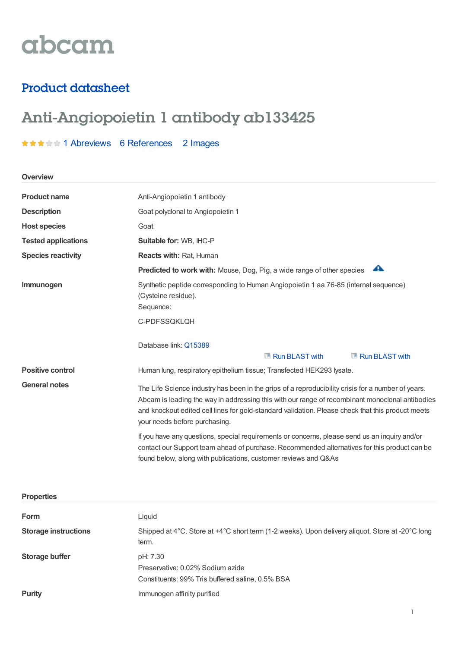# abcam

### Product datasheet

## Anti-Angiopoietin 1 antibody ab133425

★★★★★1 [Abreviews](https://www.abcam.com/angiopoietin-1-antibody-ab133425.html?productWallTab=Abreviews) 6 [References](https://www.abcam.com/angiopoietin-1-antibody-ab133425.html#description_references) 2 Images

| Overview |  |  |  |
|----------|--|--|--|
|          |  |  |  |

| <b>Product name</b>        | Anti-Angiopoietin 1 antibody                                                                                                                                                                                                                                                                                                                |  |  |
|----------------------------|---------------------------------------------------------------------------------------------------------------------------------------------------------------------------------------------------------------------------------------------------------------------------------------------------------------------------------------------|--|--|
| <b>Description</b>         | Goat polyclonal to Angiopoietin 1                                                                                                                                                                                                                                                                                                           |  |  |
| <b>Host species</b>        | Goat                                                                                                                                                                                                                                                                                                                                        |  |  |
| <b>Tested applications</b> | Suitable for: WB, IHC-P                                                                                                                                                                                                                                                                                                                     |  |  |
| <b>Species reactivity</b>  | <b>Reacts with: Rat, Human</b>                                                                                                                                                                                                                                                                                                              |  |  |
|                            | ₳<br><b>Predicted to work with:</b> Mouse, Dog, Pig, a wide range of other species                                                                                                                                                                                                                                                          |  |  |
| Immunogen                  | Synthetic peptide corresponding to Human Angiopoietin 1 aa 76-85 (internal sequence)<br>(Cysteine residue).<br>Sequence:                                                                                                                                                                                                                    |  |  |
|                            | C-PDFSSQKLQH                                                                                                                                                                                                                                                                                                                                |  |  |
|                            | Database link: Q15389<br>Run BLAST with<br>Run BLAST with                                                                                                                                                                                                                                                                                   |  |  |
| <b>Positive control</b>    | Human lung, respiratory epithelium tissue; Transfected HEK293 lysate.                                                                                                                                                                                                                                                                       |  |  |
| <b>General notes</b>       | The Life Science industry has been in the grips of a reproducibility crisis for a number of years.<br>Abcam is leading the way in addressing this with our range of recombinant monoclonal antibodies<br>and knockout edited cell lines for gold-standard validation. Please check that this product meets<br>your needs before purchasing. |  |  |
|                            | If you have any questions, special requirements or concerns, please send us an inquiry and/or<br>contact our Support team ahead of purchase. Recommended alternatives for this product can be<br>found below, along with publications, customer reviews and Q&As                                                                            |  |  |

#### **Properties**

| <b>Form</b>                 | Liguid                                                                                                    |
|-----------------------------|-----------------------------------------------------------------------------------------------------------|
| <b>Storage instructions</b> | Shipped at 4°C. Store at +4°C short term (1-2 weeks). Upon delivery aliquot. Store at -20°C long<br>term. |
| Storage buffer              | pH: 7.30<br>Preservative: 0.02% Sodium azide<br>Constituents: 99% Tris buffered saline, 0.5% BSA          |
| <b>Purity</b>               | Immunogen affinity purified                                                                               |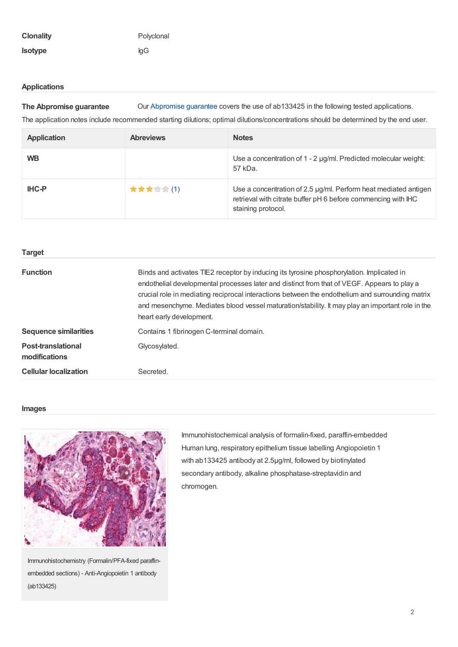#### **Applications**

**The Abpromise guarantee** Our [Abpromise](https://www.abcam.com/abpromise) guarantee covers the use of ab133425 in the following tested applications.

The application notes include recommended starting dilutions; optimal dilutions/concentrations should be determined by the end user.

| <b>Application</b> | <b>Abreviews</b> | <b>Notes</b>                                                                                                                                           |
|--------------------|------------------|--------------------------------------------------------------------------------------------------------------------------------------------------------|
| <b>WB</b>          |                  | Use a concentration of 1 - 2 µg/ml. Predicted molecular weight:<br>57 kDa.                                                                             |
| <b>IHC-P</b>       | ★★★☆☆(1)         | Use a concentration of 2.5 µg/ml. Perform heat mediated antigen<br>retrieval with citrate buffer pH 6 before commencing with IHC<br>staining protocol. |

| <b>Target</b>                              |                                                                                                                                                                                                                                                                                                                                                                                                                              |
|--------------------------------------------|------------------------------------------------------------------------------------------------------------------------------------------------------------------------------------------------------------------------------------------------------------------------------------------------------------------------------------------------------------------------------------------------------------------------------|
| <b>Function</b>                            | Binds and activates TIE2 receptor by inducing its tyrosine phosphorylation. Implicated in<br>endothelial developmental processes later and distinct from that of VEGF. Appears to play a<br>crucial role in mediating reciprocal interactions between the endothelium and surrounding matrix<br>and mesenchyme. Mediates blood vessel maturation/stability. It may play an important role in the<br>heart early development. |
| <b>Sequence similarities</b>               | Contains 1 fibrinogen C-terminal domain.                                                                                                                                                                                                                                                                                                                                                                                     |
| <b>Post-translational</b><br>modifications | Glycosylated.                                                                                                                                                                                                                                                                                                                                                                                                                |
| <b>Cellular localization</b>               | Secreted.                                                                                                                                                                                                                                                                                                                                                                                                                    |

#### **Images**



Immunohistochemistry (Formalin/PFA-fixed paraffinembedded sections) - Anti-Angiopoietin 1 antibody (ab133425)

Immunohistochemical analysis of formalin-fixed, paraffin-embedded Human lung, respiratory epithelium tissue labelling Angiopoietin 1 with ab133425 antibody at 2.5µg/ml, followed by biotinylated secondary antibody, alkaline phosphatase-streptavidin and chromogen.